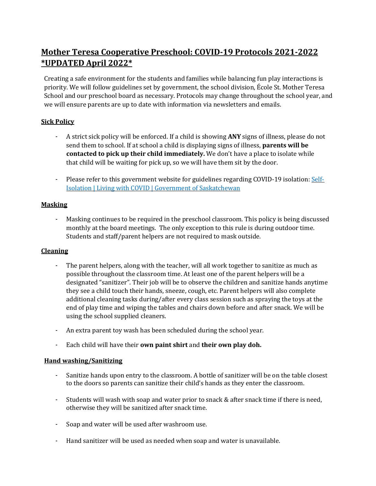# **Mother Teresa Cooperative Preschool: COVID-19 Protocols 2021-2022 \*UPDATED April 2022\***

Creating a safe environment for the students and families while balancing fun play interactions is priority. We will follow guidelines set by government, the school division, École St. Mother Teresa School and our preschool board as necessary. Protocols may change throughout the school year, and we will ensure parents are up to date with information via newsletters and emails.

## **Sick Policy**

- A strict sick policy will be enforced. If a child is showing **ANY** signs of illness, please do not send them to school. If at school a child is displaying signs of illness, **parents will be contacted to pick up their child immediately.** We don't have a place to isolate while that child will be waiting for pick up, so we will have them sit by the door.
- Please refer to this government website for guidelines regarding COVID-19 isolation: [Self-](https://www.saskatchewan.ca/government/health-care-administration-and-provider-resources/treatment-procedures-and-guidelines/emerging-public-health-issues/2019-novel-coronavirus/about-covid-19/self-isolation)Isolation | Living with COVID | Government of [Saskatchewan](https://www.saskatchewan.ca/government/health-care-administration-and-provider-resources/treatment-procedures-and-guidelines/emerging-public-health-issues/2019-novel-coronavirus/about-covid-19/self-isolation)

## **Masking**

Masking continues to be required in the preschool classroom. This policy is being discussed monthly at the board meetings. The only exception to this rule is during outdoor time. Students and staff/parent helpers are not required to mask outside.

## **Cleaning**

- The parent helpers, along with the teacher, will all work together to sanitize as much as possible throughout the classroom time. At least one of the parent helpers will be a designated "sanitizer". Their job will be to observe the children and sanitize hands anytime they see a child touch their hands, sneeze, cough, etc. Parent helpers will also complete additional cleaning tasks during/after every class session such as spraying the toys at the end of play time and wiping the tables and chairs down before and after snack. We will be using the school supplied cleaners.
- An extra parent toy wash has been scheduled during the school year.
- Each child will have their **own paint shirt** and **their own play doh.**

## **Hand washing/Sanitizing**

- Sanitize hands upon entry to the classroom. A bottle of sanitizer will be on the table closest to the doors so parents can sanitize their child's hands as they enter the classroom.
- Students will wash with soap and water prior to snack & after snack time if there is need, otherwise they will be sanitized after snack time.
- Soap and water will be used after washroom use.
- Hand sanitizer will be used as needed when soap and water is unavailable.